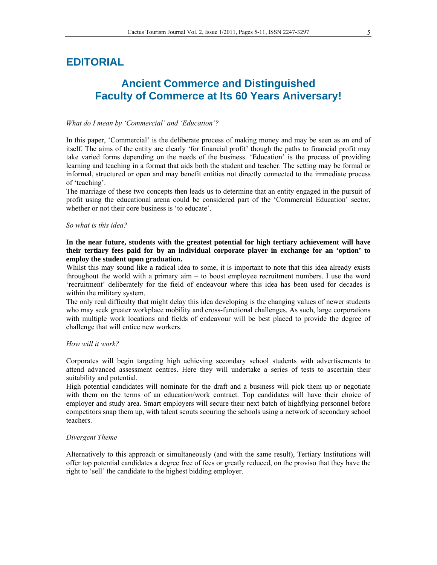# **EDITORIAL**

# **Ancient Commerce and Distinguished Faculty of Commerce at Its 60 Years Aniversary!**

## *What do I mean by 'Commercial' and 'Education'?*

In this paper, 'Commercial' is the deliberate process of making money and may be seen as an end of itself. The aims of the entity are clearly 'for financial profit' though the paths to financial profit may take varied forms depending on the needs of the business. 'Education' is the process of providing learning and teaching in a format that aids both the student and teacher. The setting may be formal or informal, structured or open and may benefit entities not directly connected to the immediate process of 'teaching'.

The marriage of these two concepts then leads us to determine that an entity engaged in the pursuit of profit using the educational arena could be considered part of the 'Commercial Education' sector, whether or not their core business is 'to educate'.

#### *So what is this idea?*

# **In the near future, students with the greatest potential for high tertiary achievement will have their tertiary fees paid for by an individual corporate player in exchange for an 'option' to employ the student upon graduation.**

Whilst this may sound like a radical idea to some, it is important to note that this idea already exists throughout the world with a primary aim – to boost employee recruitment numbers. I use the word 'recruitment' deliberately for the field of endeavour where this idea has been used for decades is within the military system.

The only real difficulty that might delay this idea developing is the changing values of newer students who may seek greater workplace mobility and cross-functional challenges. As such, large corporations with multiple work locations and fields of endeavour will be best placed to provide the degree of challenge that will entice new workers.

#### *How will it work?*

Corporates will begin targeting high achieving secondary school students with advertisements to attend advanced assessment centres. Here they will undertake a series of tests to ascertain their suitability and potential.

High potential candidates will nominate for the draft and a business will pick them up or negotiate with them on the terms of an education/work contract. Top candidates will have their choice of employer and study area. Smart employers will secure their next batch of highflying personnel before competitors snap them up, with talent scouts scouring the schools using a network of secondary school teachers.

#### *Divergent Theme*

Alternatively to this approach or simultaneously (and with the same result), Tertiary Institutions will offer top potential candidates a degree free of fees or greatly reduced, on the proviso that they have the right to 'sell' the candidate to the highest bidding employer.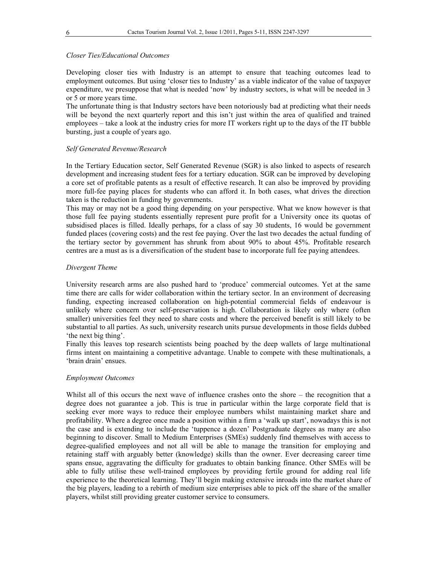#### *Closer Ties/Educational Outcomes*

Developing closer ties with Industry is an attempt to ensure that teaching outcomes lead to employment outcomes. But using 'closer ties to Industry' as a viable indicator of the value of taxpayer expenditure, we presuppose that what is needed 'now' by industry sectors, is what will be needed in 3 or 5 or more years time.

The unfortunate thing is that Industry sectors have been notoriously bad at predicting what their needs will be beyond the next quarterly report and this isn't just within the area of qualified and trained employees – take a look at the industry cries for more IT workers right up to the days of the IT bubble bursting, just a couple of years ago.

#### *Self Generated Revenue/Research*

In the Tertiary Education sector, Self Generated Revenue (SGR) is also linked to aspects of research development and increasing student fees for a tertiary education. SGR can be improved by developing a core set of profitable patents as a result of effective research. It can also be improved by providing more full-fee paying places for students who can afford it. In both cases, what drives the direction taken is the reduction in funding by governments.

This may or may not be a good thing depending on your perspective. What we know however is that those full fee paying students essentially represent pure profit for a University once its quotas of subsidised places is filled. Ideally perhaps, for a class of say 30 students, 16 would be government funded places (covering costs) and the rest fee paying. Over the last two decades the actual funding of the tertiary sector by government has shrunk from about 90% to about 45%. Profitable research centres are a must as is a diversification of the student base to incorporate full fee paying attendees.

# *Divergent Theme*

University research arms are also pushed hard to 'produce' commercial outcomes. Yet at the same time there are calls for wider collaboration within the tertiary sector. In an environment of decreasing funding, expecting increased collaboration on high-potential commercial fields of endeavour is unlikely where concern over self-preservation is high. Collaboration is likely only where (often smaller) universities feel they need to share costs and where the perceived benefit is still likely to be substantial to all parties. As such, university research units pursue developments in those fields dubbed 'the next big thing'.

Finally this leaves top research scientists being poached by the deep wallets of large multinational firms intent on maintaining a competitive advantage. Unable to compete with these multinationals, a 'brain drain' ensues.

#### *Employment Outcomes*

Whilst all of this occurs the next wave of influence crashes onto the shore – the recognition that a degree does not guarantee a job. This is true in particular within the large corporate field that is seeking ever more ways to reduce their employee numbers whilst maintaining market share and profitability. Where a degree once made a position within a firm a 'walk up start', nowadays this is not the case and is extending to include the 'tuppence a dozen' Postgraduate degrees as many are also beginning to discover. Small to Medium Enterprises (SMEs) suddenly find themselves with access to degree-qualified employees and not all will be able to manage the transition for employing and retaining staff with arguably better (knowledge) skills than the owner. Ever decreasing career time spans ensue, aggravating the difficulty for graduates to obtain banking finance. Other SMEs will be able to fully utilise these well-trained employees by providing fertile ground for adding real life experience to the theoretical learning. They'll begin making extensive inroads into the market share of the big players, leading to a rebirth of medium size enterprises able to pick off the share of the smaller players, whilst still providing greater customer service to consumers.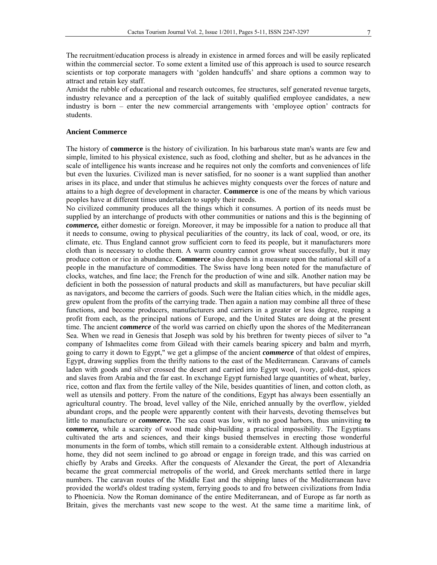The recruitment/education process is already in existence in armed forces and will be easily replicated within the commercial sector. To some extent a limited use of this approach is used to source research scientists or top corporate managers with 'golden handcuffs' and share options a common way to attract and retain key staff.

Amidst the rubble of educational and research outcomes, fee structures, self generated revenue targets, industry relevance and a perception of the lack of suitably qualified employee candidates, a new industry is born – enter the new commercial arrangements with 'employee option' contracts for students.

#### **Ancient Commerce**

The history of **commerce** is the history of civilization. In his barbarous state man's wants are few and simple, limited to his physical existence, such as food, clothing and shelter, but as he advances in the scale of intelligence his wants increase and he requires not only the comforts and conveniences of life but even the luxuries. Civilized man is never satisfied, for no sooner is a want supplied than another arises in its place, and under that stimulus he achieves mighty conquests over the forces of nature and attains to a high degree of development in character. **Commerce** is one of the means by which various peoples have at different times undertaken to supply their needs.

No civilized community produces all the things which it consumes. A portion of its needs must be supplied by an interchange of products with other communities or nations and this is the beginning of *commerce,* either domestic or foreign. Moreover, it may be impossible for a nation to produce all that it needs to consume, owing to physical peculiarities of the country, its lack of coal, wood, or ore, its climate, etc. Thus England cannot grow sufficient corn to feed its people, but it manufacturers more cloth than is necessary to clothe them. A warm country cannot grow wheat successfully, but it may produce cotton or rice in abundance. **Commerce** also depends in a measure upon the national skill of a people in the manufacture of commodities. The Swiss have long been noted for the manufacture of clocks, watches, and fine lace; the French for the production of wine and silk. Another nation may be deficient in both the possession of natural products and skill as manufacturers, but have peculiar skill as navigators, and become the carriers of goods. Such were the Italian cities which, in the middle ages, grew opulent from the profits of the carrying trade. Then again a nation may combine all three of these functions, and become producers, manufacturers and carriers in a greater or less degree, reaping a profit from each, as the principal nations of Europe, and the United States are doing at the present time. The ancient *commerce* of the world was carried on chiefly upon the shores of the Mediterranean Sea. When we read in Genesis that Joseph was sold by his brethren for twenty pieces of silver to "a company of Ishmaelites come from Gilead with their camels bearing spicery and balm and myrrh, going to carry it down to Egypt," we get a glimpse of the ancient *commerce* of that oldest of empires, Egypt, drawing supplies from the thrifty nations to the east of the Mediterranean. Caravans of camels laden with goods and silver crossed the desert and carried into Egypt wool, ivory, gold-dust, spices and slaves from Arabia and the far east. In exchange Egypt furnished large quantities of wheat, barley, rice, cotton and flax from the fertile valley of the Nile, besides quantities of linen, and cotton cloth, as well as utensils and pottery. From the nature of the conditions, Egypt has always been essentially an agricultural country. The broad, level valley of the Nile, enriched annually by the overflow, yielded abundant crops, and the people were apparently content with their harvests, devoting themselves but little to manufacture or *commerce.* The sea coast was low, with no good harbors, thus uninviting **to c***ommerce,* while a scarcity of wood made ship-building a practical impossibility. The Egyptians cultivated the arts and sciences, and their kings busied themselves in erecting those wonderful monuments in the form of tombs, which still remain to a considerable extent. Although industrious at home, they did not seem inclined to go abroad or engage in foreign trade, and this was carried on chiefly by Arabs and Greeks. After the conquests of Alexander the Great, the port of Alexandria became the great commercial metropolis of the world, and Greek merchants settled there in large numbers. The caravan routes of the Middle East and the shipping lanes of the Mediterranean have provided the world's oldest trading system, ferrying goods to and fro between civilizations from India to Phoenicia. Now the Roman dominance of the entire Mediterranean, and of Europe as far north as Britain, gives the merchants vast new scope to the west. At the same time a maritime link, of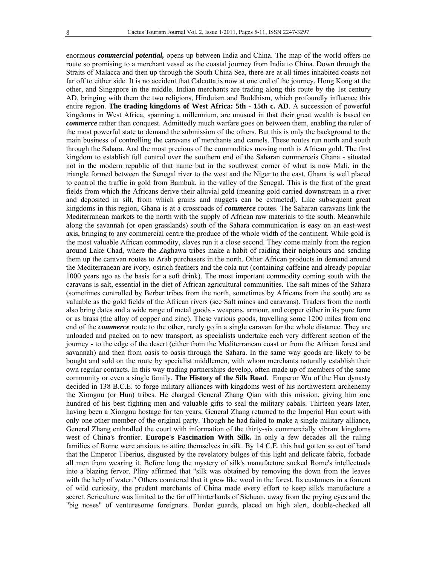enormous *commercial potential,* opens up between India and China. The map of the world offers no route so promising to a merchant vessel as the coastal journey from India to China. Down through the Straits of Malacca and then up through the South China Sea, there are at all times inhabited coasts not far off to either side. It is no accident that Calcutta is now at one end of the journey, Hong Kong at the other, and Singapore in the middle. Indian merchants are trading along this route by the 1st century AD, bringing with them the two religions, Hinduism and Buddhism, which profoundly influence this entire region. **The trading kingdoms of West Africa: 5th - 15th c. AD**. A succession of powerful kingdoms in West Africa, spanning a millennium, are unusual in that their great wealth is based on *commerce* rather than conquest. Admittedly much warfare goes on between them, enabling the ruler of the most powerful state to demand the submission of the others. But this is only the background to the main business of controlling the caravans of merchants and camels. These routes run north and south through the Sahara. And the most precious of the commodities moving north is African gold. The first kingdom to establish full control over the southern end of the Saharan commerceis Ghana - situated not in the modern republic of that name but in the southwest corner of what is now Mali, in the triangle formed between the Senegal river to the west and the Niger to the east. Ghana is well placed to control the traffic in gold from Bambuk, in the valley of the Senegal. This is the first of the great fields from which the Africans derive their alluvial gold (meaning gold carried downstream in a river and deposited in silt, from which grains and nuggets can be extracted). Like subsequent great kingdoms in this region, Ghana is at a crossroads of *commerce* routes. The Saharan caravans link the Mediterranean markets to the north with the supply of African raw materials to the south. Meanwhile along the savannah (or open grasslands) south of the Sahara communication is easy on an east-west axis, bringing to any commercial centre the produce of the whole width of the continent. While gold is the most valuable African commodity, slaves run it a close second. They come mainly from the region around Lake Chad, where the Zaghawa tribes make a habit of raiding their neighbours and sending them up the caravan routes to Arab purchasers in the north. Other African products in demand around the Mediterranean are ivory, ostrich feathers and the cola nut (containing caffeine and already popular 1000 years ago as the basis for a soft drink). The most important commodity coming south with the caravans is salt, essential in the diet of African agricultural communities. The salt mines of the Sahara (sometimes controlled by Berber tribes from the north, sometimes by Africans from the south) are as valuable as the gold fields of the African rivers (see Salt mines and caravans). Traders from the north also bring dates and a wide range of metal goods - weapons, armour, and copper either in its pure form or as brass (the alloy of copper and zinc). These various goods, travelling some 1200 miles from one end of the *commerce* route to the other, rarely go in a single caravan for the whole distance. They are unloaded and packed on to new transport, as specialists undertake each very different section of the journey - to the edge of the desert (either from the Mediterranean coast or from the African forest and savannah) and then from oasis to oasis through the Sahara. In the same way goods are likely to be bought and sold on the route by specialist middlemen, with whom merchants naturally establish their own regular contacts. In this way trading partnerships develop, often made up of members of the same community or even a single family. **The History of the Silk Road**. Emperor Wu of the Han dynasty decided in 138 B.C.E. to forge military alliances with kingdoms west of his northwestern archenemy the Xiongnu (or Hun) tribes. He charged General Zhang Qian with this mission, giving him one hundred of his best fighting men and valuable gifts to seal the military cabals. Thirteen years later, having been a Xiongnu hostage for ten years, General Zhang returned to the Imperial Han court with only one other member of the original party. Though he had failed to make a single military alliance, General Zhang enthralled the court with information of the thirty-six commercially vibrant kingdoms west of China's frontier. **Europe's Fascination With Silk.** In only a few decades all the ruling families of Rome were anxious to attire themselves in silk. By 14 C.E. this had gotten so out of hand that the Emperor Tiberius, disgusted by the revelatory bulges of this light and delicate fabric, forbade all men from wearing it. Before long the mystery of silk's manufacture sucked Rome's intellectuals into a blazing fervor. Pliny affirmed that "silk was obtained by removing the down from the leaves with the help of water." Others countered that it grew like wool in the forest. Its customers in a foment of wild curiosity, the prudent merchants of China made every effort to keep silk's manufacture a secret. Sericulture was limited to the far off hinterlands of Sichuan, away from the prying eyes and the "big noses" of venturesome foreigners. Border guards, placed on high alert, double-checked all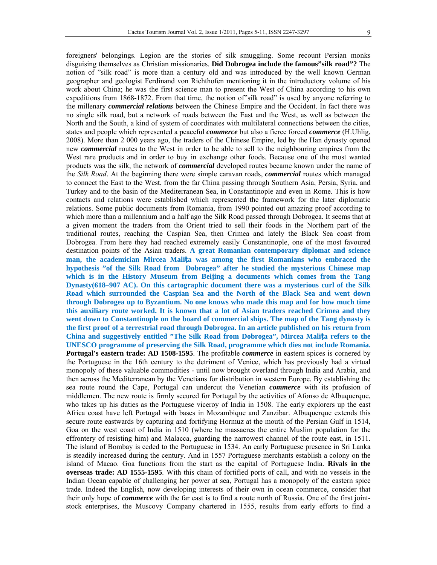foreigners' belongings. Legion are the stories of silk smuggling. Some recount Persian monks disguising themselves as Christian missionaries. **Did Dobrogea include the famous"silk road"?** The notion of "silk road" is more than a century old and was introduced by the well known German geographer and geologist Ferdinand von Richthofen mentioning it in the introductory volume of his work about China; he was the first science man to present the West of China according to his own expeditions from 1868-1872. From that time, the notion of"silk road" is used by anyone referring to the millenary *commercial relations* between the Chinese Empire and the Occident. In fact there was no single silk road, but a network of roads between the East and the West, as well as between the North and the South, a kind of system of coordinates with multilateral connections between the cities, states and people which represented a peaceful *commerce* but also a fierce forced *commerce* (H.Uhlig, 2008). More than 2 000 years ago, the traders of the Chinese Empire, led by the Han dynasty opened new *commercial* routes to the West in order to be able to sell to the neighbouring empires from the West rare products and in order to buy in exchange other foods. Because one of the most wanted products was the silk, the network of *commercial* developed routes became known under the name of the *Silk Road*. At the beginning there were simple caravan roads, *commercial* routes which managed to connect the East to the West, from the far China passing through Southern Asia, Persia, Syria, and Turkey and to the basin of the Mediterranean Sea, in Constantinople and even in Rome. This is how contacts and relations were established which represented the framework for the later diplomatic relations. Some public documents from Romania, from 1990 pointed out amazing proof according to which more than a millennium and a half ago the Silk Road passed through Dobrogea. It seems that at a given moment the traders from the Orient tried to sell their foods in the Northern part of the traditional routes, reaching the Caspian Sea, then Crimea and lately the Black Sea coast from Dobrogea. From here they had reached extremely easily Constantinople, one of the most favoured destination points of the Asian traders. **A great Romanian contemporary diplomat and science man, the academician Mircea Malița was among the first Romanians who embraced the hypothesis "of the Silk Road from Dobrogea" after he studied the mysterious Chinese map which is in the History Museum from Beijing a documents which comes from the Tang Dynasty(618–907 AC). On this cartographic document there was a mysterious curl of the Silk Road which surrounded the Caspian Sea and the North of the Black Sea and went down through Dobrogea up to Byzantium. No one knows who made this map and for how much time this auxiliary route worked. It is known that a lot of Asian traders reached Crimea and they went down to Constantinople on the board of commercial ships. The map of the Tang dynasty is the first proof of a terrestrial road through Dobrogea. In an article published on his return from China and suggestively entitled "The Silk Road from Dobrogea", Mircea Malița refers to the UNESCO programme of preserving the Silk Road, programme which dies not include Romania. Portugal's eastern trade: AD 1508-1595**. The profitable *commerce* in eastern spices is cornered by the Portuguese in the 16th century to the detriment of Venice, which has previously had a virtual monopoly of these valuable commodities - until now brought overland through India and Arabia, and then across the Mediterranean by the Venetians for distribution in western Europe. By establishing the sea route round the Cape, Portugal can undercut the Venetian *commerce* with its profusion of middlemen. The new route is firmly secured for Portugal by the activities of Afonso de Albuquerque, who takes up his duties as the Portuguese viceroy of India in 1508. The early explorers up the east Africa coast have left Portugal with bases in Mozambique and Zanzibar. Albuquerque extends this secure route eastwards by capturing and fortifying Hormuz at the mouth of the Persian Gulf in 1514, Goa on the west coast of India in 1510 (where he massacres the entire Muslim population for the effrontery of resisting him) and Malacca, guarding the narrowest channel of the route east, in 1511. The island of Bombay is ceded to the Portuguese in 1534. An early Portuguese presence in Sri Lanka is steadily increased during the century. And in 1557 Portuguese merchants establish a colony on the island of Macao. Goa functions from the start as the capital of Portuguese India. **Rivals in the overseas trade: AD 1555-1595**. With this chain of fortified ports of call, and with no vessels in the Indian Ocean capable of challenging her power at sea, Portugal has a monopoly of the eastern spice trade. Indeed the English, now developing interests of their own in ocean commerce, consider that their only hope of *commerce* with the far east is to find a route north of Russia. One of the first jointstock enterprises, the Muscovy Company chartered in 1555, results from early efforts to find a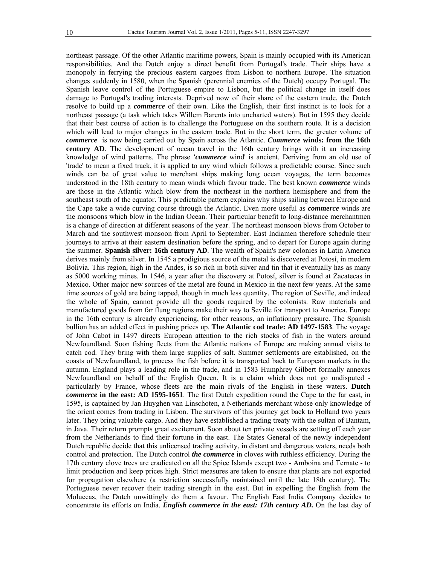northeast passage. Of the other Atlantic maritime powers, Spain is mainly occupied with its American responsibilities. And the Dutch enjoy a direct benefit from Portugal's trade. Their ships have a monopoly in ferrying the precious eastern cargoes from Lisbon to northern Europe. The situation changes suddenly in 1580, when the Spanish (perennial enemies of the Dutch) occupy Portugal. The Spanish leave control of the Portuguese empire to Lisbon, but the political change in itself does damage to Portugal's trading interests. Deprived now of their share of the eastern trade, the Dutch resolve to build up a *commerce* of their own. Like the English, their first instinct is to look for a northeast passage (a task which takes Willem Barents into uncharted waters). But in 1595 they decide that their best course of action is to challenge the Portuguese on the southern route. It is a decision which will lead to major changes in the eastern trade. But in the short term, the greater volume of *commerce* is now being carried out by Spain across the Atlantic. *Commerce* **winds: from the 16th century AD**. The development of ocean travel in the 16th century brings with it an increasing knowledge of wind patterns. The phrase *'commerce* wind' is ancient. Deriving from an old use of 'trade' to mean a fixed track, it is applied to any wind which follows a predictable course. Since such winds can be of great value to merchant ships making long ocean voyages, the term becomes understood in the 18th century to mean winds which favour trade. The best known *commerce* winds are those in the Atlantic which blow from the northeast in the northern hemisphere and from the southeast south of the equator. This predictable pattern explains why ships sailing between Europe and the Cape take a wide curving course through the Atlantic. Even more useful as *commerce* winds are the monsoons which blow in the Indian Ocean. Their particular benefit to long-distance merchantmen is a change of direction at different seasons of the year. The northeast monsoon blows from October to March and the southwest monsoon from April to September. East Indiamen therefore schedule their journeys to arrive at their eastern destination before the spring, and to depart for Europe again during the summer. **Spanish silver: 16th century AD**. The wealth of Spain's new colonies in Latin America derives mainly from silver. In 1545 a prodigious source of the metal is discovered at Potosí, in modern Bolivia. This region, high in the Andes, is so rich in both silver and tin that it eventually has as many as 5000 working mines. In 1546, a year after the discovery at Potosí, silver is found at Zacatecas in Mexico. Other major new sources of the metal are found in Mexico in the next few years. At the same time sources of gold are being tapped, though in much less quantity. The region of Seville, and indeed the whole of Spain, cannot provide all the goods required by the colonists. Raw materials and manufactured goods from far flung regions make their way to Seville for transport to America. Europe in the 16th century is already experiencing, for other reasons, an inflationary pressure. The Spanish bullion has an added effect in pushing prices up. **The Atlantic cod trade: AD 1497-1583**. The voyage of John Cabot in 1497 directs European attention to the rich stocks of fish in the waters around Newfoundland. Soon fishing fleets from the Atlantic nations of Europe are making annual visits to catch cod. They bring with them large supplies of salt. Summer settlements are established, on the coasts of Newfoundland, to process the fish before it is transported back to European markets in the autumn. England plays a leading role in the trade, and in 1583 Humphrey Gilbert formally annexes Newfoundland on behalf of the English Queen. It is a claim which does not go undisputed particularly by France, whose fleets are the main rivals of the English in these waters. **Dutch**  *commerce* **in the east: AD 1595-1651**. The first Dutch expedition round the Cape to the far east, in 1595, is captained by Jan Huyghen van Linschoten, a Netherlands merchant whose only knowledge of the orient comes from trading in Lisbon. The survivors of this journey get back to Holland two years later. They bring valuable cargo. And they have established a trading treaty with the sultan of Bantam, in Java. Their return prompts great excitement. Soon about ten private vessels are setting off each year from the Netherlands to find their fortune in the east. The States General of the newly independent Dutch republic decide that this unlicensed trading activity, in distant and dangerous waters, needs both control and protection. The Dutch control *the commerce* in cloves with ruthless efficiency. During the 17th century clove trees are eradicated on all the Spice Islands except two - Amboina and Ternate - to limit production and keep prices high. Strict measures are taken to ensure that plants are not exported for propagation elsewhere (a restriction successfully maintained until the late 18th century). The Portuguese never recover their trading strength in the east. But in expelling the English from the Moluccas, the Dutch unwittingly do them a favour. The English East India Company decides to concentrate its efforts on India. *English commerce in the east: 17th century AD.* On the last day of